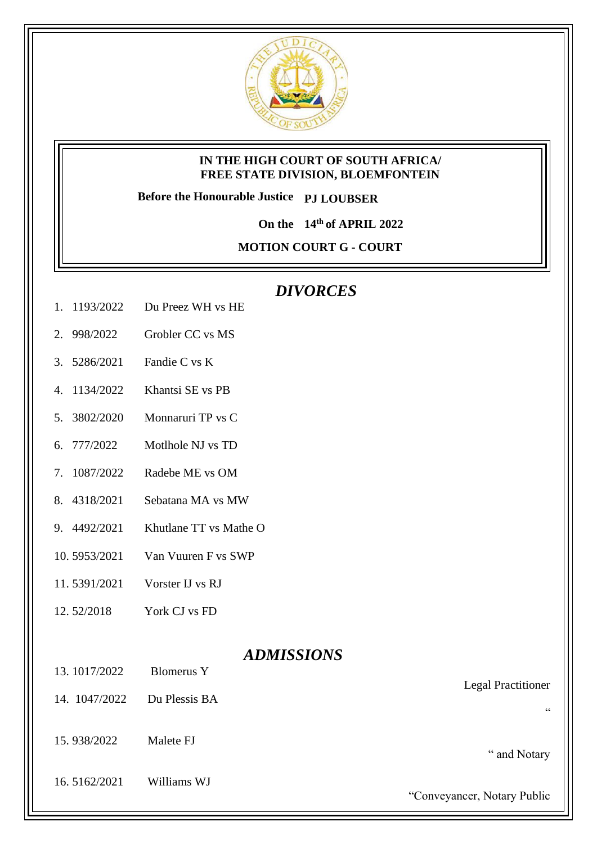

## **IN THE HIGH COURT OF SOUTH AFRICA/ FREE STATE DIVISION, BLOEMFONTEIN**

**Before the Honourable Justice PJ LOUBSER**

**On the 14th of APRIL 2022**

**MOTION COURT G - COURT** 

## *DIVORCES*

- 1. 1193/2022 Du Preez WH vs HE
- 2. 998/2022 Grobler CC vs MS
- 3. 5286/2021 Fandie C vs K
- 4. 1134/2022 Khantsi SE vs PB
- 5. 3802/2020 Monnaruri TP vs C
- 6. 777/2022 Motlhole NJ vs TD
- 7. 1087/2022 Radebe ME vs OM
- 8. 4318/2021 Sebatana MA vs MW
- 9. 4492/2021 Khutlane TT vs Mathe O
- 10. 5953/2021 Van Vuuren F vs SWP
- 11. 5391/2021 Vorster IJ vs RJ
- 12. 52/2018 York CJ vs FD

## *ADMISSIONS*

- 13. 1017/2022 Blomerus Y
- 14. 1047/2022 Du Plessis BA
- 15. 938/2022 Malete FJ
- 16. 5162/2021 Williams WJ

Legal Practitioner

"

" and Notary

"Conveyancer, Notary Public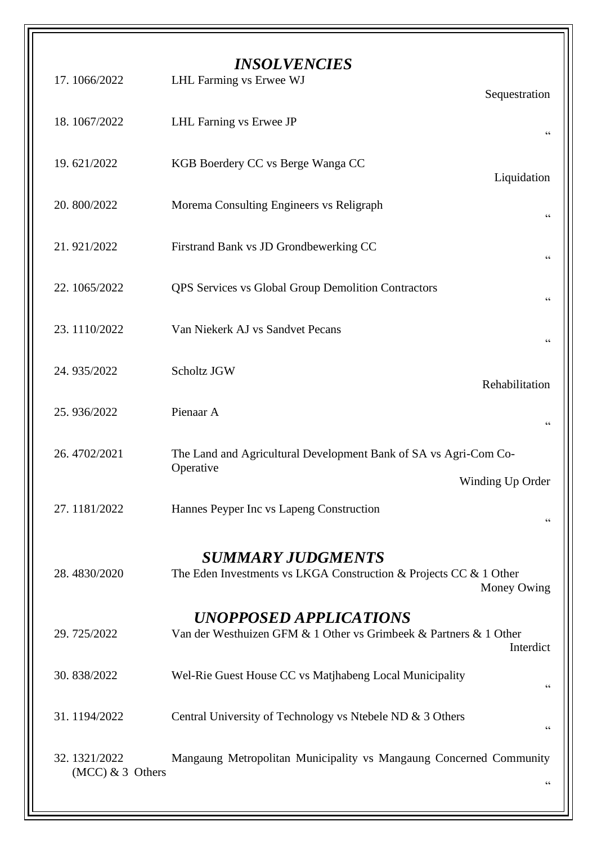| 17.1066/2022                       | <b>INSOLVENCIES</b><br>LHL Farming vs Erwee WJ<br>Sequestration                                                 |
|------------------------------------|-----------------------------------------------------------------------------------------------------------------|
| 18.1067/2022                       | LHL Farning vs Erwee JP<br>$\zeta \, \zeta$                                                                     |
| 19.621/2022                        | KGB Boerdery CC vs Berge Wanga CC<br>Liquidation                                                                |
| 20.800/2022                        | Morema Consulting Engineers vs Religraph<br>$\zeta \, \zeta$                                                    |
| 21.921/2022                        | Firstrand Bank vs JD Grondbewerking CC<br>$\zeta$ $\zeta$                                                       |
| 22.1065/2022                       | <b>QPS</b> Services vs Global Group Demolition Contractors<br>66                                                |
| 23.1110/2022                       | Van Niekerk AJ vs Sandvet Pecans<br>$\zeta \, \zeta$                                                            |
| 24.935/2022                        | Scholtz JGW<br>Rehabilitation                                                                                   |
| 25.936/2022                        | Pienaar A<br>$\!\!\!\!\zeta\,\zeta\!\!\!\!\zeta\!\!\!\!\zeta$                                                   |
| 26.4702/2021                       | The Land and Agricultural Development Bank of SA vs Agri-Com Co-<br>Operative                                   |
|                                    | Winding Up Order                                                                                                |
| 27.1181/2022                       | Hannes Peyper Inc vs Lapeng Construction                                                                        |
| 28.4830/2020                       | <b>SUMMARY JUDGMENTS</b><br>The Eden Investments vs LKGA Construction & Projects CC & 1 Other<br>Money Owing    |
| 29.725/2022                        | <b>UNOPPOSED APPLICATIONS</b><br>Van der Westhuizen GFM & 1 Other vs Grimbeek & Partners & 1 Other<br>Interdict |
| 30.838/2022                        | Wel-Rie Guest House CC vs Matjhabeng Local Municipality<br>$\!\!\!\!\zeta\,\zeta\!\!\!\!\zeta\!\!\!\!\zeta$     |
| 31.1194/2022                       | Central University of Technology vs Ntebele ND & 3 Others<br>66                                                 |
| 32.1321/2022<br>$(MCC)$ & 3 Others | Mangaung Metropolitan Municipality vs Mangaung Concerned Community<br>$\zeta$ $\zeta$                           |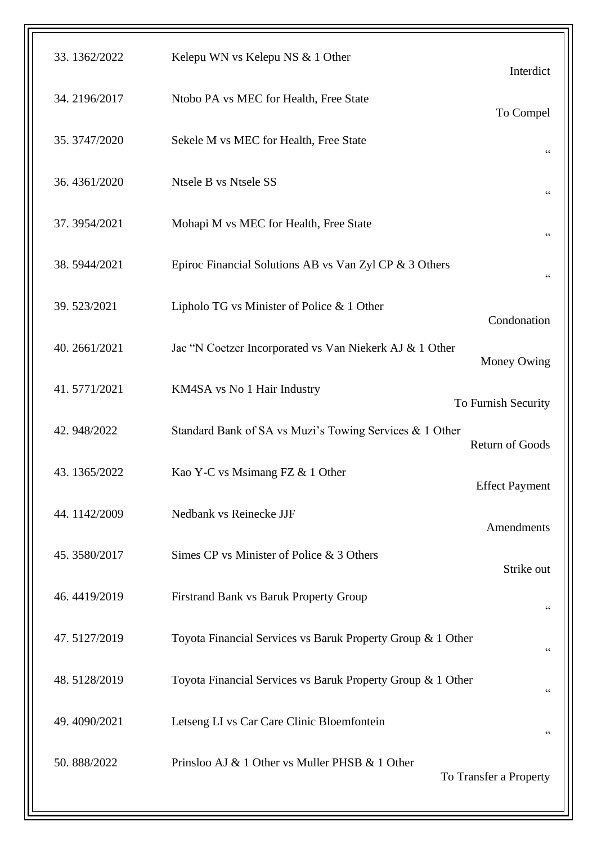| 33.1362/2022 | Kelepu WN vs Kelepu NS & 1 Other<br>Interdict                                     |
|--------------|-----------------------------------------------------------------------------------|
| 34.2196/2017 | Ntobo PA vs MEC for Health, Free State<br>To Compel                               |
| 35.3747/2020 | Sekele M vs MEC for Health, Free State<br>$\zeta\,\zeta$                          |
| 36.4361/2020 | Ntsele B vs Ntsele SS<br>$\zeta\,\zeta$                                           |
| 37.3954/2021 | Mohapi M vs MEC for Health, Free State<br>$\mbox{\bf G}$                          |
| 38.5944/2021 | Epiroc Financial Solutions AB vs Van Zyl CP & 3 Others<br>$\zeta \, \zeta$        |
| 39.523/2021  | Lipholo TG vs Minister of Police & 1 Other<br>Condonation                         |
| 40.2661/2021 | Jac "N Coetzer Incorporated vs Van Niekerk AJ & 1 Other<br>Money Owing            |
| 41.5771/2021 | KM4SA vs No 1 Hair Industry<br>To Furnish Security                                |
| 42.948/2022  | Standard Bank of SA vs Muzi's Towing Services & 1 Other<br><b>Return of Goods</b> |
| 43.1365/2022 | Kao Y-C vs Msimang FZ & 1 Other<br><b>Effect Payment</b>                          |
| 44.1142/2009 | Nedbank vs Reinecke JJF<br>Amendments                                             |
| 45.3580/2017 | Simes CP vs Minister of Police & 3 Others<br>Strike out                           |
| 46.4419/2019 | Firstrand Bank vs Baruk Property Group<br>$\zeta\,\zeta$                          |
| 47.5127/2019 | Toyota Financial Services vs Baruk Property Group & 1 Other<br>$\mbox{\bf G}$     |
| 48.5128/2019 | Toyota Financial Services vs Baruk Property Group & 1 Other<br>$\zeta$ $\zeta$    |
| 49.4090/2021 | Letseng LI vs Car Care Clinic Bloemfontein<br>66                                  |
| 50.888/2022  | Prinsloo AJ & 1 Other vs Muller PHSB & 1 Other<br>To Transfer a Property          |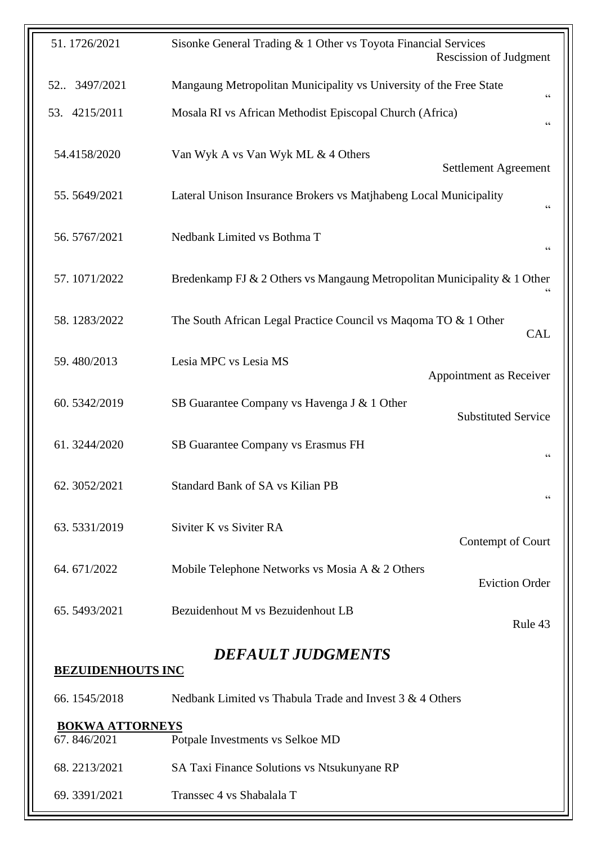| 51.1726/2021             | Sisonke General Trading & 1 Other vs Toyota Financial Services<br><b>Rescission of Judgment</b>                        |  |  |
|--------------------------|------------------------------------------------------------------------------------------------------------------------|--|--|
| 52 3497/2021             | Mangaung Metropolitan Municipality vs University of the Free State<br>$\!\!\!\!\zeta\,\zeta\!\!\!\!\zeta\!\!\!\!\zeta$ |  |  |
| 53. 4215/2011            | Mosala RI vs African Methodist Episcopal Church (Africa)                                                               |  |  |
| 54.4158/2020             | Van Wyk A vs Van Wyk ML & 4 Others<br><b>Settlement Agreement</b>                                                      |  |  |
| 55.5649/2021             | Lateral Unison Insurance Brokers vs Matjhabeng Local Municipality<br>$\mbox{\bf G}$                                    |  |  |
| 56.5767/2021             | Nedbank Limited vs Bothma T<br>$\mbox{\bf G}$                                                                          |  |  |
| 57.1071/2022             | Bredenkamp FJ & 2 Others vs Mangaung Metropolitan Municipality & 1 Other                                               |  |  |
| 58.1283/2022             | The South African Legal Practice Council vs Maqoma TO & 1 Other<br><b>CAL</b>                                          |  |  |
| 59.480/2013              | Lesia MPC vs Lesia MS<br>Appointment as Receiver                                                                       |  |  |
| 60.5342/2019             | SB Guarantee Company vs Havenga J & 1 Other<br><b>Substituted Service</b>                                              |  |  |
| 61.3244/2020             | SB Guarantee Company vs Erasmus FH<br>66                                                                               |  |  |
| 62.3052/2021             | <b>Standard Bank of SA vs Kilian PB</b><br>$\!\!\!\!\zeta\,\zeta\!\!\!\!\zeta\!\!\!\!\zeta$                            |  |  |
| 63.5331/2019             | Siviter K vs Siviter RA<br>Contempt of Court                                                                           |  |  |
| 64.671/2022              | Mobile Telephone Networks vs Mosia A & 2 Others<br><b>Eviction Order</b>                                               |  |  |
| 65.5493/2021             | Bezuidenhout M vs Bezuidenhout LB<br>Rule 43                                                                           |  |  |
| <b>DEFAULT JUDGMENTS</b> |                                                                                                                        |  |  |
| <b>BEZUIDENHOUTS INC</b> |                                                                                                                        |  |  |
| 66.1545/2018             | Nedbank Limited vs Thabula Trade and Invest 3 & 4 Others                                                               |  |  |
| <b>BOKWA ATTORNEYS</b>   |                                                                                                                        |  |  |
| 67.846/2021              | Potpale Investments vs Selkoe MD                                                                                       |  |  |
| 68.2213/2021             | SA Taxi Finance Solutions vs Ntsukunyane RP                                                                            |  |  |
| 69.3391/2021             | Transsec 4 vs Shabalala T                                                                                              |  |  |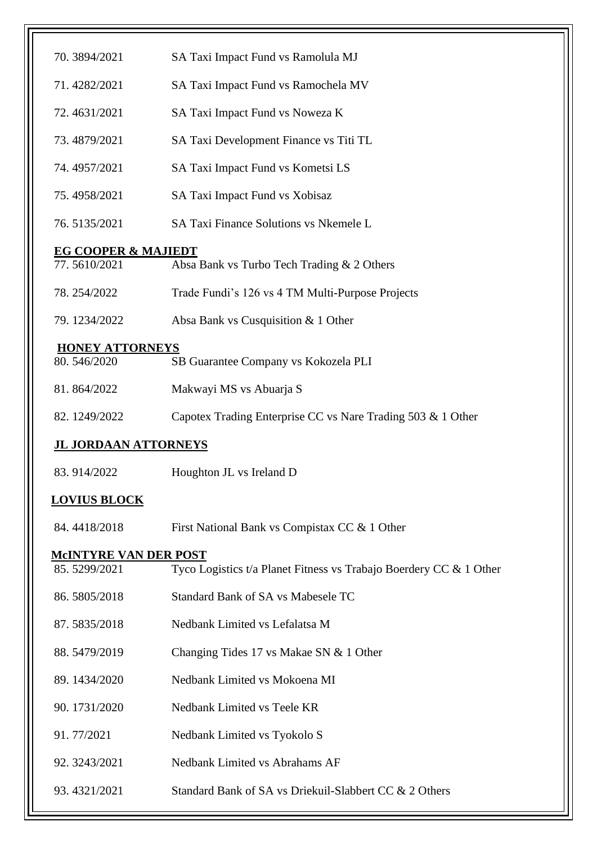| 70.3894/2021                        | SA Taxi Impact Fund vs Ramolula MJ                                 |
|-------------------------------------|--------------------------------------------------------------------|
| 71.4282/2021                        | SA Taxi Impact Fund vs Ramochela MV                                |
| 72.4631/2021                        | SA Taxi Impact Fund vs Noweza K                                    |
| 73.4879/2021                        | SA Taxi Development Finance vs Titi TL                             |
| 74.4957/2021                        | SA Taxi Impact Fund vs Kometsi LS                                  |
| 75.4958/2021                        | SA Taxi Impact Fund vs Xobisaz                                     |
| 76.5135/2021                        | SA Taxi Finance Solutions vs Nkemele L                             |
|                                     |                                                                    |
| EG COOPER & MAJIEDT<br>77.5610/2021 | Absa Bank vs Turbo Tech Trading & 2 Others                         |
| 78.254/2022                         | Trade Fundi's 126 vs 4 TM Multi-Purpose Projects                   |
| 79.1234/2022                        | Absa Bank vs Cusquisition & 1 Other                                |
| <b>HONEY ATTORNEYS</b>              |                                                                    |
| 80.546/2020                         | SB Guarantee Company vs Kokozela PLI                               |
| 81.864/2022                         | Makwayi MS vs Abuarja S                                            |
| 82.1249/2022                        | Capotex Trading Enterprise CC vs Nare Trading 503 & 1 Other        |
| <b>JL JORDAAN ATTORNEYS</b>         |                                                                    |
| 83.914/2022                         | Houghton JL vs Ireland D                                           |
| <b>LOVIUS BLOCK</b>                 |                                                                    |
| 84.4418/2018                        | First National Bank vs Compistax CC & 1 Other                      |
| <b>MCINTYRE VAN DER POST</b>        |                                                                    |
| 85.5299/2021                        | Tyco Logistics t/a Planet Fitness vs Trabajo Boerdery CC & 1 Other |
| 86.5805/2018                        | Standard Bank of SA vs Mabesele TC                                 |
| 87.5835/2018                        | Nedbank Limited vs Lefalatsa M                                     |
| 88.5479/2019                        | Changing Tides 17 vs Makae SN & 1 Other                            |
| 89.1434/2020                        | Nedbank Limited vs Mokoena MI                                      |
| 90.1731/2020                        | Nedbank Limited vs Teele KR                                        |
| 91.77/2021                          | Nedbank Limited vs Tyokolo S                                       |
| 92.3243/2021                        | Nedbank Limited vs Abrahams AF                                     |
| 93.4321/2021                        | Standard Bank of SA vs Driekuil-Slabbert CC & 2 Others             |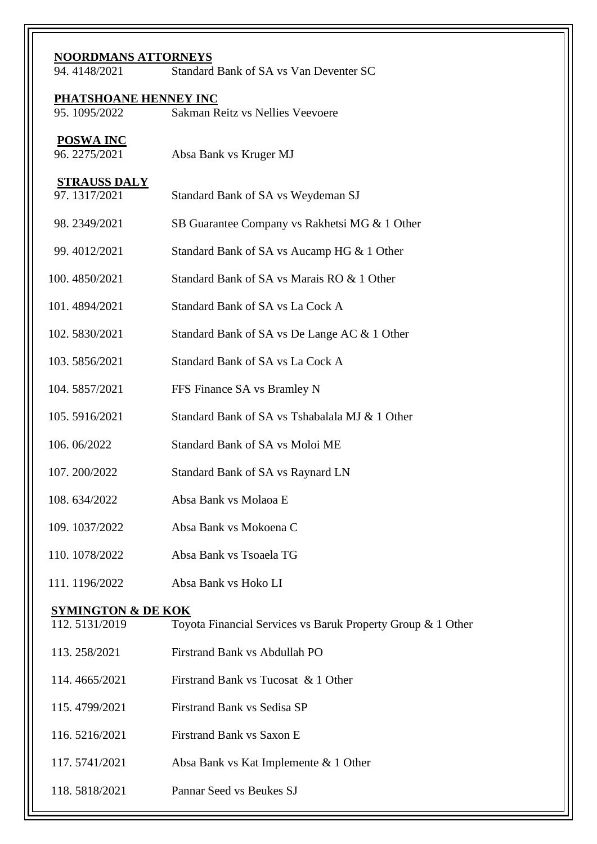| <b>NOORDMANS ATTORNEYS</b><br>94.4148/2021<br>Standard Bank of SA vs Van Deventer SC |                                                             |  |  |  |
|--------------------------------------------------------------------------------------|-------------------------------------------------------------|--|--|--|
|                                                                                      | <b>PHATSHOANE HENNEY INC</b>                                |  |  |  |
| 95.1095/2022                                                                         | Sakman Reitz vs Nellies Veevoere                            |  |  |  |
| <b>POSWA INC</b><br>96.2275/2021                                                     | Absa Bank vs Kruger MJ                                      |  |  |  |
| <b>STRAUSS DALY</b><br>97.1317/2021                                                  | Standard Bank of SA vs Weydeman SJ                          |  |  |  |
| 98.2349/2021                                                                         | SB Guarantee Company vs Rakhetsi MG & 1 Other               |  |  |  |
| 99.4012/2021                                                                         | Standard Bank of SA vs Aucamp HG & 1 Other                  |  |  |  |
| 100.4850/2021                                                                        | Standard Bank of SA vs Marais RO & 1 Other                  |  |  |  |
| 101.4894/2021                                                                        | Standard Bank of SA vs La Cock A                            |  |  |  |
| 102.5830/2021                                                                        | Standard Bank of SA vs De Lange AC & 1 Other                |  |  |  |
| 103.5856/2021                                                                        | Standard Bank of SA vs La Cock A                            |  |  |  |
| 104.5857/2021                                                                        | FFS Finance SA vs Bramley N                                 |  |  |  |
| 105.5916/2021                                                                        | Standard Bank of SA vs Tshabalala MJ & 1 Other              |  |  |  |
| 106.06/2022                                                                          | Standard Bank of SA vs Moloi ME                             |  |  |  |
| 107.200/2022                                                                         | Standard Bank of SA vs Raynard LN                           |  |  |  |
| 108.634/2022                                                                         | Absa Bank vs Molaoa E                                       |  |  |  |
| 109.1037/2022                                                                        | Absa Bank vs Mokoena C                                      |  |  |  |
| 110.1078/2022                                                                        | Absa Bank vs Tsoaela TG                                     |  |  |  |
| 111.1196/2022                                                                        | Absa Bank vs Hoko LI                                        |  |  |  |
| <b>SYMINGTON &amp; DE KOK</b><br>112.5131/2019                                       | Toyota Financial Services vs Baruk Property Group & 1 Other |  |  |  |
| 113.258/2021                                                                         | Firstrand Bank vs Abdullah PO                               |  |  |  |
| 114.4665/2021                                                                        | Firstrand Bank vs Tucosat & 1 Other                         |  |  |  |
| 115.4799/2021                                                                        | Firstrand Bank vs Sedisa SP                                 |  |  |  |
| 116.5216/2021                                                                        | <b>Firstrand Bank vs Saxon E</b>                            |  |  |  |
| 117.5741/2021                                                                        | Absa Bank vs Kat Implemente & 1 Other                       |  |  |  |
| 118.5818/2021                                                                        | Pannar Seed vs Beukes SJ                                    |  |  |  |